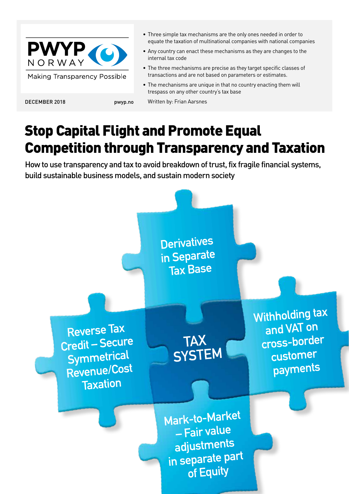

- Three simple tax mechanisms are the only ones needed in order to equate the taxation of multinational companies with national companies
- Any country can enact these mechanisms as they are changes to the internal tax code
- The three mechanisms are precise as they target specific classes of transactions and are not based on parameters or estimates.
- The mechanisms are unique in that no country enacting them will trespass on any other country's tax base

DECEMBER 2018 pwyp.no Written by: Frian Aarsnes

# Stop Capital Flight and Promote Equal Competition through Transparency and Taxation

How to use transparency and tax to avoid breakdown of trust, fix fragile financial systems, build sustainable business models, and sustain modern society

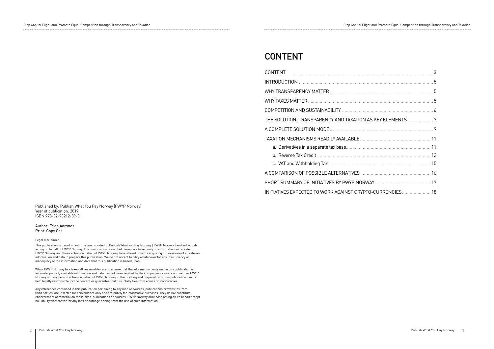| <b>KEY ELEMENTS</b> 7 |  |
|-----------------------|--|
|                       |  |
|                       |  |
|                       |  |
|                       |  |
|                       |  |
|                       |  |
|                       |  |
| CURRENCIES 18         |  |

Published by: Publish What You Pay Norway (PWYP Norway) Year of publication: 2019 ISBN 978-82-93212-89-8

Author: Frian Aarsnes Print: Copy Cat

Legal disclaimer:

This publication is based on information provided to Publish What You Pay Norway ('PWYP Norway') and individuals acting on behalf of PWYP Norway. The conclusions presented herein are based only on information so provided. PWYP Norway and those acting on behalf of PWYP Norway have strived towards acquiring full overview of all relevant information and data to prepare this publication. We do not accept liability whatsoever for any insufficiency or inadequacy of the information and data that this publication is based upon.

CONTENT . . 3 INTRODUCTION . . 5 WHY TRANSPARENCY MATTER . . 5 WHY TAXES MATTER . . 5 COMPETITION AND SUSTAINABILITY ........................ THE SOLUTION: TRANSPARENCY AND TAXATION AS A COMPLETE SOLUTION MODEL . . 9 TAXATION MECHANISMS READILY AVAILABLE .......... a. Derivatives in a separate tax base...................... b. Reverse Tax Credit . . 12 c. VAT and Withholding Tax . . 15 A COMPARISON OF POSSIBLE ALTERNATIVES ......... SHORT SUMMARY OF INITIATIVES BY PWYP NORWAY INITIATIVES EXPECTED TO WORK AGAINST CRYPTO-

While PWYP Norway has taken all reasonable care to ensure that the information contained in this publication is accurate, publicly available information and data has not been verified by the companies or users and neither PWYP Norway nor any person acting on behalf of PWYP Norway in the drafting and preparation of this publication can be held legally responsible for the content or guarantee that it is totally free from errors or inaccuracies.

Any references contained in this publication pertaining to any kind of sources, publications or websites from third parties, are inserted for convenience only and are purely for informative purposes. They do not constitute endorsement of material on those sites, publications or sources. PWYP Norway and those acting on its behalf accept no liability whatsoever for any loss or damage arising from the use of such information.

## CONTENT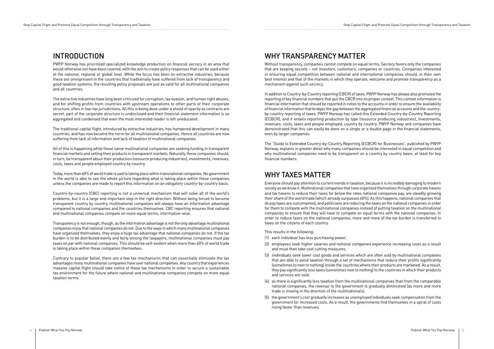## INTRODUCTION WHY TRANSPARENCY MATTER

PWYP Norway has prioritized specialized knowledge production on financial secrecy in an area that would otherwise not have been covered, with the aim to create policy responses that can be used either at the national, regional or global level. While the focus has been on extractive industries, because these are omnipresent in the countries that traditionally have suffered from lack of transparency and good taxation systems, the resulting policy proposals are just as valid for all multinational companies and all countries.

The extractive industries have long been criticized for corruption, tax evasion, and human right abuses, and for shifting profits from countries with upstream operations to other parts of their corporate structure, often in low-tax jurisdictions. All this is being done under a shield of opacity as contracts are secret, part of the corporate structure is undisclosed and their financial statement information is so aggregated and condensed that even the most interested reader is left uneducated.

The traditional capital flight, introduced by extractive industries, has hampered development in many countries, and has now become the norm for all multinational companies. Hence all countries are now suffering from lack of information and lack of taxation of multinational companies.

All of this is happening while these same multinational companies are seeking funding in transparent financial markets and selling their products in transparent markets. Naturally, these companies should, in turn, be transparent about their production (resource producing industries), investments, revenues, costs, taxes and people employed country by country.

Today, more than 60% of world trade is said to taking place within transnational companies. No government in the world is able to see the whole picture regarding what is taking place within these companies unless the companies are made to report this information on an obligatory country-by-country basis.

Country-by-country (CBC) reporting is not a universal mechanism that will solve all of the world's problems, but it is a large and important step in the right direction. Without being forced to become transparent country by country, multinational companies will always have an information advantage compared to national companies and the countries themselves. CBC reporting ensures that national and multinational companies compete on more equal terms, information-wise.

Transparency is not enough, though, as the information advantage is not the only advantage multinational companies enjoy that national companies do not. Due to the ways in which many multinational companies have organized themselves, they enjoy a huge tax advantage that national companies do not. If the tax burden is to be distributed evenly and fairly among the taxpayers, multinational companies must pay taxes on par with national companies. This should be self-evident when more than 60% of world trade is taking place within these companies themselves.

Contrary to popular belief, there are a few tax mechanisms that can essentially eliminate the tax advantages many multinational companies have over national companies. Any country that experiences massive capital flight should take notice of these tax mechanisms in order to secure a sustainable tax environment for the future where national and multinational companies compete on more equal taxation terms.

Without transparency, companies cannot compete on equal terms. Secrecy favors only the companies that are keeping secrets – not investors, customers, companies or countries. Companies interested in ensuring equal competition between national and international companies should, in their own best interest and that of the markets in which they operate, welcome and promote transparency as a mechanism against such secrecy.

In addition to Country-by-Country reporting (CBCR) of taxes, PWYP Norway has always also promoted the reporting of key financial numbers that put the CBCR into its proper context. This context information is financial information that should be reported in notes to the accounts in order to ensure the availability of financial information that bridges the gap between the aggregated financial accounts and the countryby-country reporting of taxes. PWYP Norway has called this Extended Country-by-Country Reporting (ECBCR), and it entails reporting production by type (resource producing industries), investments, revenues, costs, taxes and people employed, country by country. PWYP Norway and companies have demonstrated that this can easily be done on a single or a double page in the financial statements, even by larger companies.

The "Guide to Extended Country-by-Country Reporting (ECBCR) for Businesses", published by PWYP Norway, explains in greater detail why many companies should be interested in equal competition and why multinational companies need to be transparent on a country by country basis, at least for key financial numbers.

### WHY TAXES MATTER

Everyone should pay attention to current trends in taxation, because it is incredibly damaging to modern society as we know it. Multinational companies that have organized themselves through corporate havens and tax havens to reduce their taxes far below the rates national companies pay, are steadily growing their share of the world trade (which already surpasses 60%). As this happens, national companies that do pay taxes are outcompeted, and politicians are reducing the taxes on the national companies in order for them to compete with the multinational companies instead of putting taxation on the multinational companies to ensure that they will have to compete on equal terms with the national companies. In order to reduce taxes on the national companies, more and more of the tax burden is transferred to taxes on the citizens of each country.

This results in the following:

- (1) each individual has less purchasing power,
- (2) employees seek higher salaries and national companies experience increasing costs as a result and must then take cost cutting measures,
- (3) iindividuals seek lower cost goods and services which are often sold by multinational companies that are able to avoid taxation through a set of mechanisms that reduce their profits significantly (sometimes to next to nothing) inside the countries where their products are marketed. As a result, they pay significantly less taxes (sometimes next to nothing) to the countries in which their products and services are sold,
- (4) as there is significantly less taxation from the multinational companies than from the comparable national companies, the revenue to the government is gradually diminished (as more and more trade is moving in the direction of the multinationals),
- (5) the government's cost gradually increases as unemployed individuals seek compensation from the government for increased costs. As a result, the governments find themselves in a spiral of costs rising faster than revenues.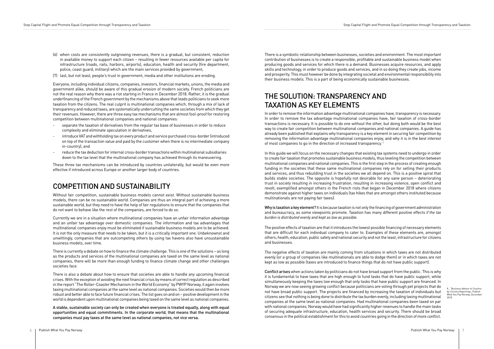- (6) when costs are consistently outgrowing revenues, there is a gradual, but consistent, reduction in available money to support each citizen – resulting in fewer resources available per capita for infrastructure (roads, rails, harbors, airports), education, health and security (fire department, police, coast guard, military) which are the main services provided by government,
- (7) last, but not least, people's trust in government, media and other institutions are eroding.

Everyone, including individual citizens, companies, investors, financial markets, unions, the media and government alike, should be aware of this gradual erosion of modern society. French politicians are not the real reason why there was a riot starting in France in December 2018. Rather, it is the gradual underfinancing of the French government by the mechanisms above that leads politicians to seek more taxation from the citizens. The real culprit is multinational companies which, through a mix of lack of transparency and reduced taxes, are systematically undercutting the same societies from which they get their revenues. However, there are three easy tax mechanisms that are almost fool-proof for restoring competition between multinational companies and national companies:

- separate the taxation of derivatives from the regular tax base of businesses in order to reduce complexity and eliminate speculation in derivatives,
- introduce VAT and withholding tax on every product and service purchased cross-border (introduced on top of the transaction value and paid by the customer when there is no intermediate company in-country), and
- reduce the tax deduction for internal cross-border transactions within multinational subsidiaries down to the tax level that the multinational company has achieved through its maneuvering.

These three tax mechanisms can be introduced by countries unilaterally, but would be even more effective if introduced across Europe or another larger body of countries.

#### COMPETITION AND SUSTAINABILITY

Without fair competition, sustainable business models cannot exist. Without sustainable business models, there can be no sustainable world. Companies are thus an integral part of achieving a more sustainable world, but they need to have the help of fair regulations to ensure that the companies that do not want to behave like the rest of the companies, are forced to do so.

In order to remove the information advantage multinational companies have, transparency is necessary. In order to remove the tax advantage multinational companies have, fair taxation of cross-border transactions is necessary. It is possible to do one without the other, but doing both would be the best way to create fair competition between multinational companies and national companies. A guide has already been published that explains why transparency is a key element in securing fair competition by removing the information advantage multinational companies enjoy, and why it is in the best interest of most companies to go in the direction of increased transparency.<sup>1</sup>

Currently we are in a situation where multinational companies have an unfair information advantage and an unfair tax advantage over domestic companies. The information and tax advantages that multinational companies enjoy must be eliminated if sustainable business models are to be achieved. It is not the only measure that needs to be taken, but it is a critically important one. Unbeknownst and unwittingly, companies that are outcompeting others by using tax havens also have unsustainable business models, over time.

There is currently a debate on how to finance the climate challenge. This is one of the solutions – as long as the products and services of the multinational companies are taxed on the same level as national companies, there will be more than enough funding to finance climate change and other challenges societies face.

Why is taxation a key element? It is because taxation is not only the financing of government administration and bureaucracy, as some viewpoints promote. Taxation has many different positive effects *if the tax burden is distributed evenly and kept as low as possible.* 

There is also a debate about how to ensure that societies are able to handle any upcoming financial crises. With the exception of avoiding the next financial crisis by means of correct regulation as described in the report "The Roller-Coaster Mechanism in the World Economy" by PWYP Norway, it again involves taxing multinational companies at the same level as national companies. Societies would then be more robust and better able to face future financial crises. The list goes on and on – positive development in the world is dependent upon multinational companies being taxed on the same level as national companies.

A stable, sustainable society can only be created when everyone is treated equally, along with equal opportunities and equal commitments. In the corporate world, that means that the multinational companies must pay taxes at the same level as national companies, not vice versa.

There is a symbiotic relationship between businesses, societies and environment. The most important contribution of businesses is to create a responsible, profitable and sustainable business model when producing goods and services for which there is a demand. Businesses acquire resources, and apply skills and technology, in order to produce goods and services, and in so doing they create jobs, income and prosperity. This must however be done by integrating societal and environmental responsibility into their business models. This is a part of being economically sustainable businesses.

### THE SOLUTION: TRANSPARENCY AND TAXATION AS KEY ELEMENTS

In this guide we will focus on the necessary changes that existing tax systems need to undergo in order to create fair taxation that promotes sustainable business models, thus leveling the competition between multinational companies and national companies. This is the first step in the process of creating enough funding in the societies that these same multinational companies rely on for selling their products and services, and thus rebuilding trust in the societies we all depend on. This is a positive spiral that builds stable societies. The opposite is hopefully not desirable for any sane person – deteriorating trust in society resulting in increasing frustration, resulting in increasing violence, open conflict and revolt, exemplified amongst others in the French riots that began in December 2018 where citizens demonstrate against higher taxes on individuals (tax hikes that are amongst others instituted because multinationals are not paying fair taxes).

The positive effects of taxation are that it introduces the lowest possible financing of necessary elements that are difficult for each individual company to cater to. Examples of these elements are, amongst others, health, education, public safety and national security and not the least, infrastructure for citizens and businesses.

The negative effects of taxation are mainly coming from situations in which taxes are not distributed evenly (or a group of companies like multinationals are able to dodge them) or in which taxes are not kept as low as possible (taxes are introduced to finance things that do not have public support).

Conflict arises when actions taken by politicians do not have broad support from the public. This is why it is fundamental to have taxes that are high enough to fund tasks that do have public support, while simultaneously keeping the taxes low enough that only tasks that have public support are financed. In Norway we are now seeing growing conflict because politicians are voting through pet projects that do not have broad public support. The projects are financed by increasing the taxation of individuals but citizens see that nothing is being done to distribute the tax burden evenly, including taxing multinational companies at the same level as national companies. Had multinational companies been taxed on par with national companies, Norway would have had significantly higher revenues to handle the main tasks of securing adequate infrastructure, education, health services and security. There should be broad consensus in the political establishment for this to avoid countries going in the direction of more conflict.

**1**\_ "Business Advisor to Countryby-Country Reporting», Publish What You Pay Norway, Decembe 2018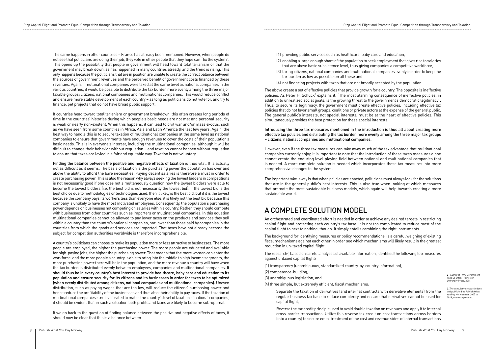The same happens in other countries – France has already been mentioned. However, when people do not see that politicians are doing their job, they vote in other people that they hope can "fix the system". This opens up the possibility that people in government will head toward totalitarianism or that the government may break down, as has happened in many countries already, and the trend is rising. This only happens because the politicians that are in position are unable to create the correct balance between the sources of government revenues and the perceived benefit of government costs financed by these revenues. Again, if multinational companies were taxed at the same level as national companies in the various countries, it would be possible to distribute the tax burden more evenly among the three major taxable groups: citizens, national companies and multinational companies. This would reduce conflict and ensure more stable development of each country – as long as politicians do not vote for, and try to finance, pet projects that do not have broad public support.

If countries head toward totalitarianism or government breakdown, this often creates long periods of time in the countries' histories during which people's basic needs are not met and personal security is weak or nearly non-existent. When this happens, it can lead to civil war and/or mass exodus, such as we have seen from some countries in Africa, Asia and Latin America the last few years. Again, the best way to handle this is to secure taxation of multinational companies at the same level as national companies to ensure that governments have enough revenues to cover the costs of their population's basic needs. This is in everyone's interest, including the multinational companies, although it will be difficult to change their behavior without regulation – and taxation cannot happen without regulation to ensure that taxes are levied in a fair and equitable way. Taxation is not voluntary.

> The research<sup>3</sup>, based on careful analyses of available information, identified the following top measures against untaxed capital flight:

Finding the balance between the positive and negative effects of taxation is thus vital. It is actually not as difficult as it seems. The basis of taxation is the purchasing power the population has over and above the ability to afford the bare necessities. Paying decent salaries is therefore a must in order to create purchasing power. This is also the reason why always seeking the lowest bidders in competitions is not necessarily good if one does not simultaneously question how the lowest bidders were able to become the lowest bidders (i.e. the best bid is not necessarily the lowest bid). If the lowest bid is the best choice due to methodologies or technologies used, then it likely is the best bid, but if it is the lowest because the company pays its workers less than everyone else, it is likely not the best bid because this company is unlikely to have the most motivated employees. Consequently, the population's purchasing power depends on businesses not competing on salaries within a country. Rather, they should compete with businesses from other countries such as importers or multinational companies. In this equation multinational companies cannot be allowed to pay lower taxes on the products and services they sell within a country than the country's national companies, nor lower than those paid by companies in the countries from which the goods and services are imported. That taxes have not already become the subject for competition authorities worldwide is therefore incomprehensible.

> **3** The cumulative research done **and published by Publish What** You Pay Norway from 2007 to 2018, see www.pwyp.no.

A country's politicians can choose to make its population more or less attractive to businesses. The more people are employed, the higher the purchasing power. The more people are educated and available for high-paying jobs, the higher the purchasing power. That means that the more women can enter the workforce, and the more people a country is able to bring into the middle to high income segments, the more purchasing power there will be in the population, and the more revenue a country will have when the tax burden is distributed evenly between employees, companies and multinational companies. It should thus be in every country's best interest to provide healthcare, baby care and education to its population and ensure security for its citizens and its businesses in order for taxes to be optimized (when evenly distributed among citizens, national companies and multinational companies). Uneven distribution, such as paying wages that are too low, will reduce the citizens' purchasing power and hence reduce the profitability of the businesses and thus also their ability to pay taxes. If the taxation of multinational companies is not calibrated to match the country's level of taxation of national companies, it should be evident that in such a situation both profits and taxes are likely to become sub-optimal.

If we go back to the question of finding balance between the positive and negative effects of taxes, it should now be clear that this is a balance between

#### A COMPLETE SOLUTION MODEL

An orchestrated and coordinated effort is needed in order to achieve any desired targets in restricting capital flight and protecting each country's tax base. It is not too complicated to reduce most of the capital flight to next to nothing, though. It simply entails combining the right instruments.

The background for identifying measures or policy recommendations, is a careful weighing of existing fiscal mechanisms against each other in order see which mechanisms will likely result in the greatest reduction in un-taxed capital flight.

(1) transparency (unambiguous, standardized country-by-country information), (2) competence-building,

(3) unambiguous legislation, and

(4) three simple, but extremely efficient, fiscal mechanisms:

- i. Separate the taxation of derivatives (and internal contracts with derivative elements) from the regular business tax base to reduce complexity and ensure that derivatives cannot be used for capital flight,
- ii. Reverse the tax credit principle used to avoid double taxation on revenues and apply it to internal cross-border transactions. Utilize this reverse tax credit on cost transactions across borders (into a country) to secure equal treatment of the cost and revenue sides of internal transactions

**2**\_ Author of "Why Government Fails So Often", Princeton University Press, 2014

(1) providing public services such as healthcare, baby care and education,

- (2) enabling a large enough share of the population to seek employment that gives rise to salaries that are above basic subsistence level, thus giving companies a competitive workforce,
- (3) taxing citizens, national companies and multinational companies evenly in order to keep the tax burden as low as possible on all these and
- (4) not financing projects with taxes that are not broadly accepted by the population.

The above create a set of effective policies that provide growth for a country. The opposite is ineffective policies. As Peter H. Schuck<sup>2</sup> explains it, "The most alarming consequence of ineffective policies, in addition to unrealized social goals, is the growing threat to the government's democratic legitimacy". Thus, to secure its legitimacy, the government must create effective policies, including effective tax policies that do not favor small groups, coalitions or private actors at the expense of the general public. The general public's interests, not special interests, must be at the heart of effective policies. This simultaneously provides the best protection for these special interests.

Introducing the three tax measures mentioned in the introduction is thus all about creating more effective tax policies and distributing the tax burden more evenly among the three major tax groups – citizens, national companies and multinational companies.

However, even if the three tax measures can take away much of the tax advantage that multinational companies currently enjoy, it is important to note that the introduction of these taxes measures alone cannot create the enduring level playing field between national and multinational companies that is needed. A more complete solution is needed which incorporates these tax measures into more comprehensive changes to the system.

The important take-away is that when policies are enacted, politicians must always look for the solutions that are in the general public's best interests. This is also true when looking at which measures that promote the most sustainable business models, which again will help towards creating a more sustainable world.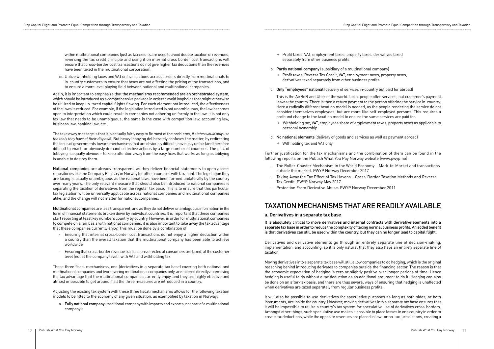within multinational companies (just as tax credits are used to avoid double taxation of revenues, reversing the tax credit principle and using it on internal cross border cost transactions will ensure that cross-border cost transactions do not give higher tax deductions than the revenues have been taxed in the multinational corporation),

iii. Utilize withholding taxes and VAT on transactions across borders directly from multinationals to in-country customers to ensure that taxes are not affecting the pricing of the transactions, and to ensure a more level playing field between national and multinational companies.

Again, it is important to emphasize that the mechanisms recommended are an orchestrated system, which should be introduced as a comprehensive package in order to avoid loopholes that might otherwise be utilized to keep un-taxed capital flights flowing. For each element not introduced, the effectiveness of the laws is reduced. For example, if the legislation introduced is not unambiguous, the law becomes open to interpretation which could result in companies not adhering uniformly to the law. It is not only tax law that needs to be unambiguous; the same is the case with competition law, accounting law, business law, banking law, etc.

The take away message is that it is actually fairly easy to fix most of the problems, *if states would only use the tools they have at their disposa*l. But heavy lobbying deliberately confuses the matter, by redirecting the focus of governments toward mechanisms that are obviously difficult, obviously unfair (and therefore difficult to enact) or obviously demand collective actions by a large number of countries. The goal of lobbying is equally obvious – to keep attention away from the easy fixes that works as long as lobbying is unable to destroy them.

National companies are already transparent, as they deliver financial statements to open access repositories like the Company Registry in Norway (or other countries with taxation). The legislation they are facing is usually unambiguous as the national laws have been formed unilaterally by the country over many years. The only relevant measure that should also be introduced to national companies is separating the taxation of derivatives from the regular tax base. This is to ensure that this particular tax legislation will be universally applicable across national companies and multinational companies alike, and the change will not matter for national companies.

Multinational companies are less transparent, and as they do not deliver unambiguous information in the form of financial statements broken down by individual countries. It is important that these companies start reporting at least key numbers country by country. However, in order for multinational companies to compete on a fair basis with national companies, it is also important to take away the tax advantage that these companies currently enjoy. This must be done by a combination of

- $\rightarrow$  Profit taxes, VAT, employment taxes, property taxes, derivatives taxed separately from other business profits
- b. Partly national company (subsidiary of a multinational company)
	- $\rightarrow$  Profit taxes, Reverse Tax Credit, VAT, employment taxes, property taxes, derivatives taxed separately from other business profits
- c. Only "employees" national (delivery of services in-country but paid for abroad)

- Ensuring that internal cross-border cost transactions do not enjoy a higher deduction within a country than the overall taxation that the multinational company has been able to achieve worldwide
- Ensuring that cross-border revenue transactions directed at consumers are taxed, at the customer level (not at the company level), with VAT and withholding tax.

These three fiscal mechanisms, one (derivatives in a separate tax base) covering both national and multinational companies and two covering multinational companies only, are tailored directly at removing the tax advantage that the multinational companies currently enjoy, and they are highly effective and almost impossible to get around if all the three measures are introduced in a country.

Adjusting the existing tax system with these three fiscal mechanisms allows for the following taxation models to be fitted to the economy of any given situation, as exemplified by taxation in Norway:

a. Fully national company (traditional company with imports and exports, not part of a multinational company):

## TAXATION MECHANISMS THAT ARE READILY AVAILABLE

#### **a. Derivatives in a separate tax base**

It is absolutely critical to move derivatives and internal contracts with derivative elements into a separate tax base in order to reduce the complexity of taxing normal business profits. An added benefit is that derivatives can still be used within the country, but they can no longer lead to capital flight.

Derivatives and derivative elements go through an entirely separate line of decision-making, implementation, and accounting, so it is only natural that they also have an entirely separate line of taxation.

Moving derivatives into a separate tax base will still allow companies to do hedging, which is the original reasoning behind introducing derivates to companies outside the financing sector. The reason is that the economic expectation of hedging is zero or slightly positive over longer periods of time. Hence hedging is useful to do without a tax deduction as an additional argument to do it. Hedging can also be done on an after-tax basis, and there are thus several ways of ensuring that hedging is unaffected when derivatives are taxed separately from regular business profits.

It will also be possible to use derivatives for speculative purposes as long as both sides, or both instruments, are inside the country. However, moving derivatives into a separate tax base ensures that it will be impossible to utilize a country's tax system for speculative use of derivatives cross-borders. Amongst other things, such speculative use makes it possible to place losses in one country in order to create tax deductions, while the opposite revenues are placed in low- or no-tax jurisdictions, creating a

This is the AirBnB and Uber of the world. Local people offer services, but customer's payment leaves the country. There is then a return payment to the person offering the service in-country. Here a radically different taxation model is needed, as the people rendering the service do not consider themselves employees, but are more like self-employed persons. This requires a profound change to the taxation model to ensure the same services are paid for.

- $\rightarrow$  Withholding tax, VAT, employees share of employment taxes, property taxes as applicable to personal ownership
- d. No national elements (delivery of goods and services as well as payment abroad)
	- $\rightarrow$  Withholding tax and VAT only

Further justification for the tax mechanisms and the combination of them can be found in the following reports on the Publish What You Pay Norway website (www.pwyp.no):

- The Roller-Coaster Mechanism in the World Economy Mark-to-Market and transactions outside the market. PWYP Norway December 2017
- Taking Away the Tax Effect of Tax Havens Cross-Border Taxation Methods and Reverse Tax Credit. PWYP Norway May 2017
- Protection From Derivative Abuse. PWYP Norway December 2011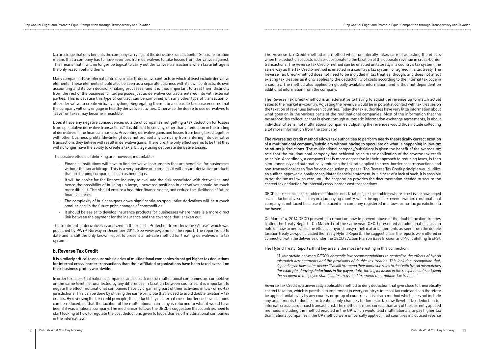tax arbitrage that only benefits the company carrying out the derivative transaction(s). Separate taxation means that a company has to have revenues from derivatives to take losses from derivatives against. This means that it will no longer be logical to carry out derivatives transactions when tax arbitrage is the only reason behind them.

Many companies have internal contracts similar to derivative contracts or which at least include derivative elements. These elements should also be seen as a separate business with its own contracts, its own accounting and its own decision-making processes, and it is thus important to treat them distinctly from the rest of the business for tax purposes just as derivative contracts entered into with external parties. This is because this type of contract can be combined with any other type of transaction or other derivative to create virtually anything. Segregating them into a separate tax base ensures that the company will only engage in healthy derivative activities. Otherwise the desire to use derivatives to "save" on taxes may become irresistible.

Does it have any negative consequences outside of companies not getting a tax deduction for losses from speculative derivative transactions? It is difficult to see any, other than a reduction in the trading of derivatives in the financial markets. Preventing derivative gains and losses from being taxed together with other business profits (de-linking) does not prohibit any company from entering into derivative transactions they believe will result in derivative gains. Therefore, the only effect seems to be that they will no longer have the ability to create a tax arbitrage using deliberate derivative losses.

The positive effects of delinking are, however, indubitable:

- Financial institutions will have to find derivative instruments that are beneficial for businesses without the tax arbitrage. This is a very positive outcome, as it will ensure derivative products that are helping companies, such as hedging is.
- It will be easier for the finance industry to evaluate the risk associated with derivatives, and hence the possibility of building up large, uncovered positions in derivatives should be much more difficult. This should ensure a healthier finance sector, and reduce the likelihood of future financial crises.
- The complexity of business goes down significantly, as speculative derivatives will be a much smaller part in the future price changes of commodities.
- It should be easier to develop insurance products for businesses where there is a more direct link between the payment for the insurance and the coverage that is taken out.

The treatment of derivatives is analyzed in the report "Protection from Derivative Abuse" which was published by PWYP Norway in December 2011. See www.pwyp.no for the report. The report is up to date and is still the only known report to present a fail-safe method for treating derivatives in a tax system.

#### **b. Reverse Tax Credit**

It is similarly critical to ensure subsidiaries of multinational companies do not get higher tax deductions for internal cross-border transactions than their affiliated organizations have been taxed overall on their business profits worldwide.

In order to ensure that national companies and subsidiaries of multinational companies are competitive on the same level, i.e. unaffected by any differences in taxation between countries, it is important to negate the effect multinational companies have by organizing part of their activities in low- or no-tax jurisdictions. This can be done by utilizing the same principle that is used to avoid double taxation – tax credits. By reversing the tax credit principle, the deductibility of internal cross-border cost transactions can be reduced, so that the taxation of the multinational company is returned to what it would have been if it was a national company. The mechanism follows the OECD's suggestion that countries need to start looking at how to regulate the cost deductions given to (subsidiaries of) multinational companies in the internal law.

The Reverse Tax Credit-method is a method which unilaterally takes care of adjusting the effects when the deduction of costs is disproportionate to the taxation of the opposite revenue in cross-border transactions. The Reverse Tax Credit-method can be enacted unilaterally in a country's tax system, the same way as the Tax Credit-method is enacted in a country's tax system, or agreed in a tax treaty. The Reverse Tax Credit-method does not need to be included in tax treaties, though, and does not affect existing tax treaties as it only applies to the deductibility of costs according to the internal tax code in a country. The method also applies on globally available information, and is thus not dependent on additional information from the company.

The Reverse Tax Credit-method is an alternative to having to adjust the revenue up to match actual sales to the market in-country. Adjusting the revenue would be in potential conflict with tax treaties on the taxation of revenues between countries. Today the tax authorities have very little information about what goes on in the various parts of the multinational companies. Most of the information that the tax authorities collect, or that is given through automatic information exchange agreements, is about individual citizens, not multinational companies. Adjusting the revenues would thus include collecting a lot more information from the company.

The reverse tax credit method allows tax authorities to perform nearly theoretically correct taxation of a multinational company/subsidiary without having to speculate on what is happening in low-tax or no-tax jurisdictions. The multinational company/subsidiary is given the benefit of the average tax rate that the multinational company had achieved prior to the application of the reverse tax credit principle. Accordingly, a company that is more aggressive in their approach to reducing taxes, is then simultaneously and automatically reducing the tax rate applied to cross-border cost transactions and non-transactional cash flow for cost deduction purposes. The Reverse Tax Credit principle would utilize an auditor-approved globally consolidated financial statement, but in case of a lack of such, it is possible to set the tax as low as zero until the corporation provides the documentation needed to secure the correct tax deduction for internal cross-border cost transactions.

OECD has recognized the problem of "double non-taxation", i.e. the problem where a cost is acknowledged as a deduction in a subsidiary in a tax-paying country, while the opposite revenue within a multinational company is not taxed because it is placed in a company registered in a low- or no-tax jurisdiction (a tax haven).

On March 14, 2014 OECD presented a report on how to prevent abuse of the double taxation treaties (called the Treaty Report). On March 19 of the same year, OECD presented an additional discussion note on how to neutralize the effects of hybrid, unsymmetrical arrangements as seen from the double taxation treaty viewpoint (called the Treaty Hybrid Report). The suggestions in the reports were offered in connection with the deliveries under the OECD's Action Plan on Base Erosion and Profit Shifting (BEPS).

The Hybrid Treaty Report's third key area is the most interesting in this connection:

*"3. Interaction between OECD's domestic law recommendations to neutralize the effects of hybrid mismatch arrangements and the provisions of double-tax treaties. This includes: recognition that, depending on how states decide (if at all) to amend their domestic rules to deal with hybrid mismatches (for example, denying deductions in the payee state, forcing inclusion in the recipient state or taxing the recipient in the payee state), states may need to amend their double-tax treaties."*

Reverse Tax Credit is a universally applicable method to deny deduction that give close to theoretically correct taxation, which is possible to implement in every country's internal tax code and can therefore be applied unilaterally by any country or group of countries. It is also a method which does not include any adjustments to double-tax treaties, only changes to domestic tax law (level of tax deduction for internal, cross-border cost transactions). The method is more correct than any of the currently applied methods, including the method enacted in the UK which would lead multinationals to pay higher tax than national companies if the UK method were universally applied. If all countries introduced reverse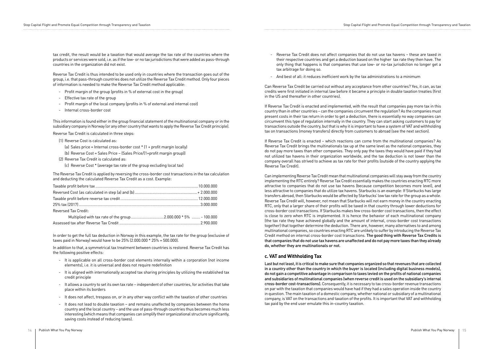- Reverse Tax Credit does not affect companies that do not use tax havens these are taxed in their respective countries and get a deduction based on the higher tax rate they then have. The only thing that happens is that companies that use low- or no-tax jurisdiction no longer get a tax arbitrage for doing so.
- And best of all: it reduces inefficient work by the tax administrations to a minimum

Can Reverse Tax Credit be carried out without any acceptance from other countries? Yes, it can, as tax credits were first initiated in internal law before it became a principle in double taxation treaties (first in the US and thereafter in other countries).

If Reverse Tax Credit is enacted and implemented, with the result that companies pay more tax in this country than in other countries – can the companies circumvent the regulation? As the companies must present costs in their tax return in order to get a deduction, there is essentially no way companies can circumvent this type of regulation internally in the country. They can start asking customers to pay for transactions outside the country, but that is why it is important to have a system of VAT and withholding tax on transactions (money transfers) directly from customers to abroad (see the next section).

If Reverse Tax Credit is enacted – which reactions can come from the multinational companies? As Reverse Tax Credit brings the multinationals tax up at the same level as the national companies, they do not pay more taxes than other companies. They only pay the taxes they would have paid if they had not utilized tax havens in their organization worldwide, and the tax deduction is not lower than the company overall has strived to achieve as tax rate for their profits (outside of the country applying the Reverse Tax Credit).

Can implementing Reverse Tax Credit mean that multinational companies will stay away from the country implementing the RTC entirely? Reverse Tax Credit essentially makes the countries enacting RTC more attractive to companies that do not use tax havens (because competition becomes more level), and less attractive to companies that do utilize tax havens. Starbucks is an example: If Starbucks has large transfers abroad, then Starbucks would be affected by Starbucks' low tax rate for the group as a whole. Reverse Tax Credit will, however, not mean that Starbucks will not earn money in the country enacting RTC, only that a larger share of their profits will be taxed in that country through lower deductions for cross-border cost transactions. If Starbucks makes few cross-border cost transactions, then the effect is close to zero when RTC is implemented. It is hence the behavior of each multinational company (the tax rate they have achieved globally and the amount of internal, cross-border cost transactions together) that together determine the deduction. There are, however, many alternatives to and among multinational companies, so countries enacting RTC are unlikely to suffer by introducing the Reverse Tax Credit method on internal cross-border cost transactions. The good thing with Reverse Tax Credits is that companies that do not use tax havens are unaffected and do not pay more taxes than they already do, whether they are multinationals or not.

#### **c. VAT and Withholding Tax**

Last but not least, it is critical to make sure that companies organized so that revenues that are collected in a country other than the country in which the buyer is located (including digital business models), do not gain a competitive advantage in comparison to taxes levied on the profits of national companies and subsidiaries of multinational companies (when reverse credit is used on the subsidiary's internal cross-border cost-transactions). Consequently, it is necessary to tax cross-border revenue transactions on par with the taxation that companies would have had if they had a sales operation inside the country in question. The main taxation of a domestic company, whether national or subsidiary of a multinational company, is VAT on the transactions and taxation of the profits. It is important that VAT and withholding tax paid by the end user emulate this in-country taxation.

tax credit, the result would be a taxation that would average the tax rate of the countries where the products or services were sold, i.e. as if the low- or no tax jurisdictions that were added as pass-through countries in the organization did not exist.

Reverse Tax Credit is thus intended to be used only in countries where the transaction goes out of the group, i.e. that pass-through countries does not utilize the Reverse Tax Credit method. Only four pieces of information is needed to make the Reverse Tax Credit method applicable:

- Profit margin of the group (profits in % of external cost in the group)
- Effective tax rate of the group
- Profit margin of the local company (profits in % of external and internal cost)
- Internal cross-border cost

This information is found either in the group financial statement of the multinational company or in the subsidiary company in Norway (or any other country that wants to apply the Reverse Tax Credit principle).

Reverse Tax Credit is calculated in three steps:

- (1) Reverse Cost is calculated as:
	- (a) Sales price = Internal cross-border cost  $*(1 + \text{profit margin locally})$
	- (b) Reverse Cost = Sales Price (Sales Price/(1+profit margin group))
- (2) Reverse Tax Credit is calculated as:
	- (c) Reverse Cost \* (average tax rate of the group excluding local tax)

The Reverse Tax Credit is applied by reversing the cross-border cost transactions in the tax calculation and deducting the calculated Reverse Tax Credit as a cost. Example:

| Reversed Tax Credit:                                           |  |
|----------------------------------------------------------------|--|
| Multiplied with tax rate of the group2.000.000 * 5%  - 100.000 |  |
|                                                                |  |

In order to get the full tax deduction in Norway in this example, the tax rate for the group (exclusive of taxes paid in Norway) would have to be 25% (2.000.000 \* 25% = 500.000).

In addition to that, a symmetrical tax treatment between countries is restored. Reverse Tax Credit has the following positive effects:

- It is applicable on all cross-border cost elements internally within a corporation (not income elements), i.e. it is universal and does not require redefinition
- It is aligned with internationally accepted tax sharing principles by utilizing the established tax credit principle
- It allows a country to set its own tax rate independent of other countries, for activities that take place within its borders
- It does not affect, trespass on, or in any other way conflict with the taxation of other countries
- It does not lead to double taxation and remains unaffected by companies between the home country and the local country – and the use of pass-through countries thus becomes much less interesting (which means that companies can simplify their organizational structure significantly, saving costs instead of reducing taxes).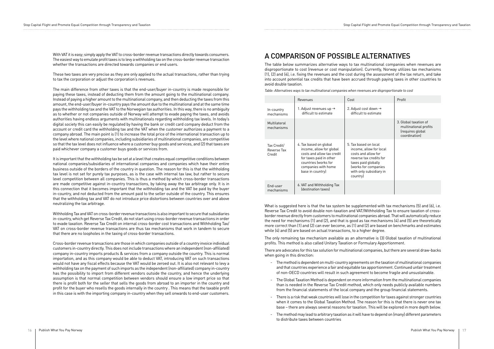With VAT it is easy; simply apply the VAT to cross-border revenue transactions directly towards consumers. The easiest way to emulate profit taxes is to levy a withholding tax on the cross-border revenue transaction whether the transactions are directed towards companies or end users.

These two taxes are very precise as they are only applied to the actual transactions, rather than trying to tax the corporation or adjust the corporation's revenues.

The main difference from other taxes is that the end-user/buyer in-country is made responsible for paying these taxes, instead of deducting them from the amount going to the multinational company. Instead of paying a higher amount to the multinational company, and then deducting the taxes from this amount, the end-user/buyer in-country pays the amount due to the multinational and at the same time pays the withholding tax and the VAT to the Norwegian tax authorities. In this way, there is no ambiguity as to whether or not companies outside of Norway will attempt to evade paying the taxes, and avoids authorities having endless arguments with multinationals regarding withholding tax levels. In today's digital society this can easily be regulated by having the bank or credit card company deduct from the account or credit card the withholding tax and the VAT when the customer authorizes a payment to a company abroad. The main point is (1) to increase the total price of the international transaction up to the level where national companies, including subsidiaries of multinational companies, are competitive so that the tax level does not influence where a customer buy goods and services, and (2) that taxes are paid whichever company a customer buys goods or services from.

It is important that the withholding tax be set at a level that creates equal competitive conditions between national companies/subsidiaries of international companies and companies which have their entire business outside of the borders of the country in question. The reason for this is that the withholding tax level is not set for purely tax purposes, as is the case with internal tax law, but rather to secure level competition between all companies. This is thus a method by which cross-border transactions are made competitive against in-country transactions, by taking away the tax arbitrage only. It is in this connection that it becomes important that the withholding tax and the VAT be paid by the buyer in-country, and not deducted from the amount paid to the seller outside of the country. This ensures that the withholding tax and VAT do not introduce price distortions between countries over and above neutralizing the tax arbitrage.

What is suggested here is that the tax system be supplemented with tax mechanisms (5) and (6), i.e. Reverse Tax Credit to avoid double non-taxation and VAT/Withholding Tax to ensure taxation of crossborder revenue directly from customers to multinational companies abroad. That will automatically reduce the need for mechanisms (1) and (2), and that is good as tax mechanisms (4) and (5) are theoretically more correct than (1) and (2) can ever become, as (1) and (2) are based on benchmarks and estimates while (4) and (5) are based on actual transactions, to a higher degree.

Withholding Tax and VAT on cross-border revenue transactions is also important to secure that subsidiaries in-country, which get Reverse Tax Credit, do not start using cross-border revenue transactions in order to evade taxation. Reverse Tax Credit on internal cross-border cost transactions and Withholding Tax/ VAT on cross-border revenue transactions are thus tax mechanisms that work in tandem to secure that there are no loopholes in the taxing of cross-border transactions.

Cross-border revenue transactions are those in which companies outside of a country invoice individual customers in-country directly. This does not include transactions where an independent (non-affiliated) company in-country imports products & services from a company outside the country. This is normal importation, and as this company would be able to deduct VAT, introducing VAT on such transactions would not have any fiscal effects because the VAT would be zeroed out. It is also not relevant to levy a withholding tax on the payment of such imports as the independent (non-affiliated) company in-country has the possibility to import from different vendors outside the country, and hence the underlying assumption is that normal competition between vendors should ensure a low import price so that there is profit both for the seller that sells the goods from abroad to an importer in the country and profit for the buyer who resells the goods internally in the country . This means that the taxable profit in this case is with the importing company in-country when they sell onwards to end-user customers.

## A COMPARISON OF POSSIBLE ALTERNATIVES

The table below summarizes alternative ways to tax multinational companies when revenues are disproportionate to cost (revenue or cost manipulation). Currently, Norway utilizes tax mechanisms (1), (2) and (4), i.e. fixing the revenues and the cost during the assessment of the tax return, and take into account potential tax credits that have been accrued through paying taxes in other countries to avoid double taxation.

*Table: Alternatives ways to tax multinational companies when revenues are disproportionate to cost*

The only remaining tax mechanism available as an alternative is (3) Global taxation of multinational profits. This method is also called Unitary Taxation or Formulary Apportionment.

There are advocates for this tax solution for multinational companies, but there are several draw-backs when going in this direction:

- The method is dependent on multi-country agreements on the taxation of multinational companies and that countries experience a fair and equitable tax apportionment. Continued unfair treatment of non-OECD countries will result in such agreement to become fragile and unsustainable.
- The Global Taxation Method is dependent on more information from the multinational companies than is needed in the Reverse Tax Credit method, which only needs publicly available numbers from the financial statements of the local company and the group financial statements.
- There is a risk that weak countries will lose in the competition for taxes against stronger countries when it comes to the Global Taxation Method. The reason for this is that there is never one tax base – there are always several reasons for taxation. This will be explored in more depth below.
- The method may lead to arbitrary taxation as it will have to depend on (many) different parameters to distribute taxes between countries

|                                      | <b>Revenues</b>                                                                                                                                                                | Cost                                                                                                                                                                                     | Profit                                                                             |
|--------------------------------------|--------------------------------------------------------------------------------------------------------------------------------------------------------------------------------|------------------------------------------------------------------------------------------------------------------------------------------------------------------------------------------|------------------------------------------------------------------------------------|
| In-country<br>mechanisms             | 1. Adjust revenues up $\rightarrow$<br>difficult to estimate                                                                                                                   | 2. Adjust cost down $\rightarrow$<br>difficult to estimate                                                                                                                               |                                                                                    |
| Multilateral<br>mechanisms           |                                                                                                                                                                                |                                                                                                                                                                                          | 3. Global taxation of<br>multinational profits<br>(requires global<br>coordination |
| Tax Credit/<br>Reverse Tax<br>Credit | 4. Tax based on global<br>income, allow for global<br>costs and allow tax credit<br>for taxes paid in other<br>countries (works for<br>companies with home<br>base in country) | 5. Tax based on local<br>income, allow for local<br>costs and allow for<br>reverse tax credits for<br>taxes paid globally<br>(works for companies<br>with only subsidiary in<br>country) |                                                                                    |
| End-user<br>mechanisms               | 6. VAT and Withholding Tax<br>(destination taxes)                                                                                                                              |                                                                                                                                                                                          |                                                                                    |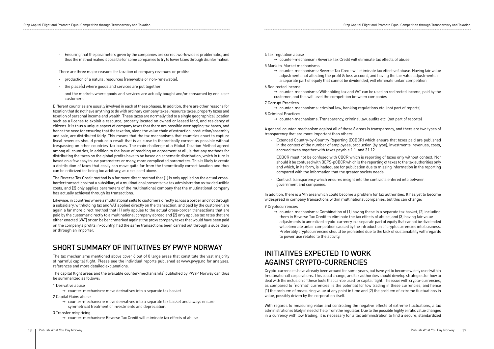- Ensuring that the parameters given by the companies are correct worldwide is problematic, and thus the method makes it possible for some companies to try to lower taxes through disinformation.

There are three major reasons for taxation of company revenues or profits:

- production of a natural resources (renewable or non-renewable),
- the place(s) where goods and services are put together
- and the markets where goods and services are actually bought and/or consumed by end-user customers.

Different countries are usually involved in each of these phases. In addition, there are other reasons for taxation that do not have anything to do with ordinary company taxes: resource taxes, property taxes and taxation of personal income and wealth. These taxes are normally tied to a single geographical location such as a license to exploit a resource, property located on owned or leased land, and residency of citizens. It is thus a unique aspect of company taxes that there are possible overlapping tax bases, and hence the need for ensuring that the taxation, along the value chain of extraction, production/assembly and sale, are distributed fairly. This means that the tax mechanisms that countries enact to capture fiscal revenues should produce a result that is as close to theoretically correct as possible without trespassing on other countries' tax bases. The main challenge of a Global Taxation Method agreed among all countries, in addition to the issue of reaching an agreement at all, is that any methods for distributing the taxes on the global profits have to be based on schematic distribution, which in turn is based on a few easy to use parameters or many, more complicated parameters. This is likely to create a distribution of taxes that easily can move quite far from the theoretically correct taxation and thus can be criticized for being too arbitrary, as discussed above.

The tax mechanisms mentioned above cover 6 out of 8 large areas that constitute the vast majority of harmful capital flight. Please see the individual reports published at www.pwyp.no for analyses, references and more detailed explanations.

- 2 Capital Gains abuse
	- $\rightarrow$  counter-mechanism: move derivatives into a separate tax basket and always ensure symmetrical treatment of investments and depreciation.
- 3 Transfer mispricing
	- $\rightarrow$  counter-mechanism: Reverse Tax Credit will eliminate tax effects of abuse
- 4 Tax regulation abuse
- $\rightarrow$  counter-mechanism: Reverse Tax Credit will eliminate tax effects of abuse 5 Mark-to-Market mechanisms
	- $\rightarrow$  counter-mechanisms: Reverse Tax Credit will eliminate tax effects of abuse. Having fair value adjustments not affecting the profit & loss account, and having the fair value adjustments in a separate part of equity that cannot be dividended, will eliminate unfair competition
- 6 Redirected income
	- $\rightarrow$  counter-mechanisms: Withholding tax and VAT can be used on redirected income, paid by the customer, and this will level the competition between companies
- 7 Corrupt Practices
- $\rightarrow$  counter-mechanisms: criminal law, banking regulations etc. (not part of reports) 8 Criminal Practices
	- $\rightarrow$  counter-mechanisms: Transparency, criminal law, audits etc. (not part of reports)

The Reverse Tax Credit method is a far more direct method that (1) is only applied on the actual crossborder transactions that a subsidiary of a multinational presents to a tax administration as tax deductible costs, and (2) only applies parameters of the multinational company that the multinational company has actually achieved through its transactions.

Likewise, in countries where a multinational sells to customers directly across a border and not through a subsidiary, withholding tax and VAT applied directly on the transaction, and paid by the customer, are again a far more direct method that (1) only applies to the actual cross-border transactions that are paid by the customer directly to a multinational company abroad and (2) only applies tax rates that are either enacted (VAT) or can be benchmarked against the proxy company taxes that would have been paid on the company's profits in-country, had the same transactions been carried out through a subsidiary or through an importer.

 $\rightarrow$  counter-mechanisms: Combination of (1) having these in a separate tax basket, (2) including them in Reverse Tax Credit to eliminate the tax effects of abuse, and (3) having fair value adjustments to unrealized crypto-currency in a separate part of equity that cannot be dividended will eliminate unfair competition caused by the introduction of cryptocurrencies into business. Preferably cryptocurrencies should be prohibited due to the lack of sustainability with regards to power use related to the activity.

#### SHORT SUMMARY OF INITIATIVES BY PWYP NORWAY

The capital flight areas and the available counter-mechanism(s) published by PWYP Norway can thus be summarized as follows:

1 Derivative abuse

 $\rightarrow$  counter-mechanism: move derivatives into a separate tax basket

A general counter-mechanism against all of these 8 areas is transparency, and there are two types of transparency that are more important than others:

- Extended Country-by-Country Reporting (ECBCR) which ensure that taxes paid are published in the context of the number of employees, production (by type), investments, revenues, costs, accrued taxes together with taxes payable 1.1. and 31.12.

ECBCR must not be confused with CBCR which is reporting of taxes only without context. Nor should it be confused with BEPS-pCBCR which is the reporting of taxes to the tax authorities only and which, in its form, is inadequate for publication due to missing information in the reporting compared with the information that the greater society needs.

- Contract transparency which ensures insight into the contracts entered into between government and companies.

In addition, there is a 9th area which could become a problem for tax authorities. It has yet to become widespread in company transactions within multinational companies, but this can change:

9 Cryptocurrencies

### INITIATIVES EXPECTED TO WORK AGAINST CRYPTO-CURRENCIES

Crypto-currencies have already been around for some years, but have yet to become widely used within (multinational) corporations. This could change, and tax authorities should develop strategies for how to deal with the inclusion of these tools that can be used for capital flight. The issue with crypto-currencies, as compared to "normal" currencies, is the potential for low trading in these currencies, and hence (1) the problem of measuring value at any point in time and (2) the problem of extreme fluctuations in value, possibly driven by the corporation itself.

With regards to measuring value and controlling the negative effects of extreme fluctuations, a tax administration is likely in need of help from the regulator. Due to the possible highly erratic value changes in a currency with low trading, it is necessary for a tax administration to find a secure, standardized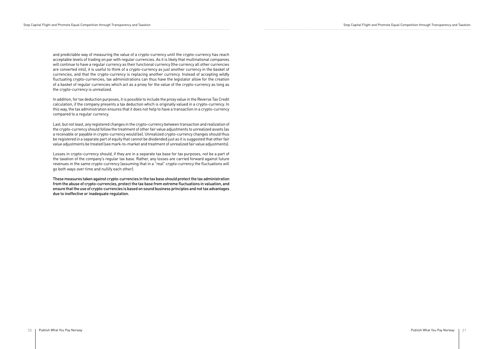and predictable way of measuring the value of a crypto-currency until the crypto-currency has reach acceptable levels of trading on par with regular currencies. As it is likely that multinational companies will continue to have a regular currency as their functional currency (the currency all other currencies are converted into), it is useful to think of a crypto-currency as just another currency in the basket of currencies, and that the crypto-currency is replacing another currency. Instead of accepting wildly fluctuating crypto-currencies, tax administrations can thus have the legislator allow for the creation of a basket of regular currencies which act as a proxy for the value of the crypto-currency as long as the crypto-currency is unrealized.

In addition, for tax deduction purposes, it is possible to include the proxy value in the Reverse Tax Credit calculation, if the company presents a tax deduction which is originally valued in a crypto-currency. In this way, the tax administration ensures that it does not help to have a transaction in a crypto-currency compared to a regular currency.

Last, but not least, any registered changes in the crypto-currency between transaction and realization of the crypto-currency should follow the treatment of other fair value adjustments to unrealized assets (as a receivable or payable in crypto-currency would be). Unrealized crypto-currency changes should thus be registered in a separate part of equity that cannot be dividended just as it is suggested that other fair value adjustments be treated (see mark-to-market and treatment of unrealized fair value adjustments).

Losses in crypto-currency should, if they are in a separate tax base for tax purposes, not be a part of the taxation of the company's regular tax base. Rather, any losses are carried forward against future revenues in the same crypto-currency (assuming that in a "real" crypto-currency the fluctuations will go both ways over time and nullify each other).

These measures taken against crypto-currencies in the tax base should protect the tax administration from the abuse of crypto-currencies, protect the tax base from extreme fluctuations in valuation, and ensure that the use of crypto-currencies is based on sound business principles and not tax advantages due to ineffective or inadequate regulation.